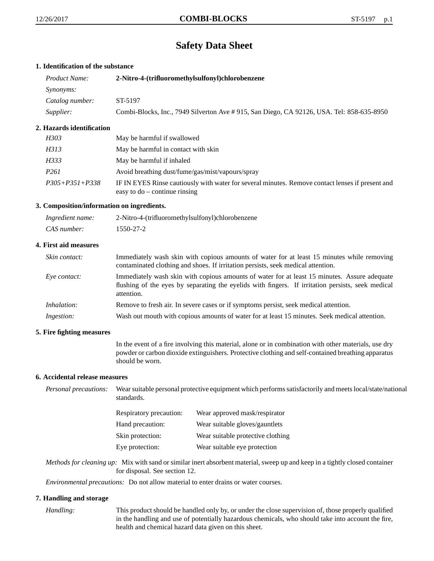# **Safety Data Sheet**

# **1. Identification of the substance**

| <i>Product Name:</i> | 2-Nitro-4-(trifluoromethylsulfonyl)chlorobenzene                                         |  |
|----------------------|------------------------------------------------------------------------------------------|--|
| <i>Synonyms:</i>     |                                                                                          |  |
| Catalog number:      | ST-5197                                                                                  |  |
| <i>Supplier:</i>     | Combi-Blocks, Inc., 7949 Silverton Ave #915, San Diego, CA 92126, USA. Tel: 858-635-8950 |  |

# **2. Hazards identification**

| H303                 | May be harmful if swallowed                                                                                                         |
|----------------------|-------------------------------------------------------------------------------------------------------------------------------------|
| H313                 | May be harmful in contact with skin                                                                                                 |
| H333                 | May be harmful if inhaled                                                                                                           |
| P261                 | Avoid breathing dust/fume/gas/mist/vapours/spray                                                                                    |
| $P305 + P351 + P338$ | IF IN EYES Rinse cautiously with water for several minutes. Remove contact lenses if present and<br>easy to $do$ – continue rinsing |

# **3. Composition/information on ingredients.**

| Ingredient name: | 2-Nitro-4-(trifluoromethylsulfonyl)chlorobenzene |
|------------------|--------------------------------------------------|
| CAS number:      | 1550-27-2                                        |

# **4. First aid measures**

| <i>Skin contact:</i> | Immediately wash skin with copious amounts of water for at least 15 minutes while removing<br>contaminated clothing and shoes. If irritation persists, seek medical attention.                                  |
|----------------------|-----------------------------------------------------------------------------------------------------------------------------------------------------------------------------------------------------------------|
| Eye contact:         | Immediately wash skin with copious amounts of water for at least 15 minutes. Assure adequate<br>flushing of the eyes by separating the eyelids with fingers. If irritation persists, seek medical<br>attention. |
| <i>Inhalation:</i>   | Remove to fresh air. In severe cases or if symptoms persist, seek medical attention.                                                                                                                            |
| <i>Ingestion:</i>    | Wash out mouth with copious amounts of water for at least 15 minutes. Seek medical attention.                                                                                                                   |

## **5. Fire fighting measures**

In the event of a fire involving this material, alone or in combination with other materials, use dry powder or carbon dioxide extinguishers. Protective clothing and self-contained breathing apparatus should be worn.

## **6. Accidental release measures**

*Personal precautions:* Wear suitable personal protective equipment which performs satisfactorily and meets local/state/national standards.

| <b>Respiratory precaution:</b> | Wear approved mask/respirator     |
|--------------------------------|-----------------------------------|
| Hand precaution:               | Wear suitable gloves/gauntlets    |
| Skin protection:               | Wear suitable protective clothing |
| Eye protection:                | Wear suitable eye protection      |

*Methods for cleaning up:* Mix with sand or similar inert absorbent material, sweep up and keep in a tightly closed container for disposal. See section 12.

*Environmental precautions:* Do not allow material to enter drains or water courses.

## **7. Handling and storage**

*Handling:* This product should be handled only by, or under the close supervision of, those properly qualified in the handling and use of potentially hazardous chemicals, who should take into account the fire, health and chemical hazard data given on this sheet.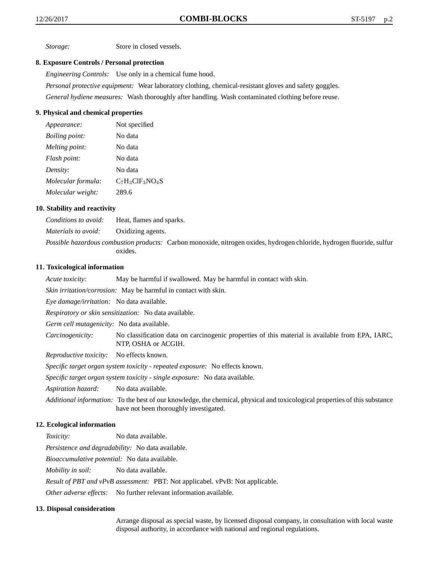*Storage:* Store in closed vessels.

## **8. Exposure Controls / Personal protection**

*Engineering Controls:* Use only in a chemical fume hood. *Personal protective equipment:* Wear laboratory clothing, chemical-resistant gloves and safety goggles.

*General hydiene measures:* Wash thoroughly after handling. Wash contaminated clothing before reuse.

## **9. Physical and chemical properties**

| Appearance:           | Not specified      |
|-----------------------|--------------------|
| <i>Boiling point:</i> | No data            |
| Melting point:        | No data            |
| Flash point:          | No data            |
| Density:              | No data            |
| Molecular formula:    | $C_7H_3ClF_3NO_4S$ |
| Molecular weight:     | 289.6              |

## **10. Stability and reactivity**

*Conditions to avoid:* Heat, flames and sparks. *Materials to avoid:* Oxidizing agents. *Possible hazardous combustion products:* Carbon monoxide, nitrogen oxides, hydrogen chloride, hydrogen fluoride, sulfur oxides.

## **11. Toxicological information**

*Acute toxicity:* May be harmful if swallowed. May be harmful in contact with skin.

*Skin irritation/corrosion:* May be harmful in contact with skin.

*Eye damage/irritation:* No data available.

*Respiratory or skin sensitization:* No data available.

*Germ cell mutagenicity:* No data available.

*Carcinogenicity:* No classification data on carcinogenic properties of this material is available from EPA, IARC, NTP, OSHA or ACGIH.

*Reproductive toxicity:* No effects known.

*Specific target organ system toxicity - repeated exposure:* No effects known.

*Specific target organ system toxicity - single exposure:* No data available.

*Aspiration hazard:* No data available.

*Additional information:* To the best of our knowledge, the chemical, physical and toxicological properties of this substance have not been thoroughly investigated.

## **12. Ecological information**

*Toxicity:* No data available.

*Persistence and degradability:* No data available.

*Bioaccumulative potential:* No data available.

*Mobility in soil:* No data available.

*Result of PBT and vPvB assessment:* PBT: Not applicabel. vPvB: Not applicable.

*Other adverse effects:* No further relevant information available.

## **13. Disposal consideration**

Arrange disposal as special waste, by licensed disposal company, in consultation with local waste disposal authority, in accordance with national and regional regulations.